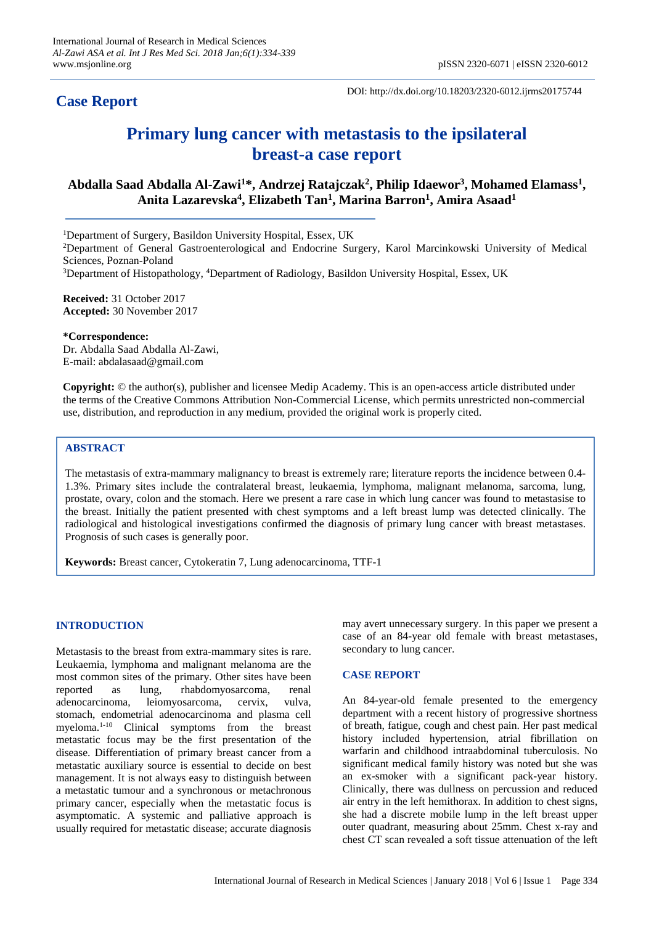# **Case Report**

DOI: http://dx.doi.org/10.18203/2320-6012.ijrms20175744

# **Primary lung cancer with metastasis to the ipsilateral breast-a case report**

# **Abdalla Saad Abdalla Al-Zawi<sup>1</sup>\*, Andrzej Ratajczak<sup>2</sup> , Philip Idaewor<sup>3</sup> , Mohamed Elamass<sup>1</sup> , Anita Lazarevska<sup>4</sup> , Elizabeth Tan<sup>1</sup> , Marina Barron<sup>1</sup> , Amira Asaad<sup>1</sup>**

<sup>1</sup>Department of Surgery, Basildon University Hospital, Essex, UK

<sup>2</sup>Department of General Gastroenterological and Endocrine Surgery, Karol Marcinkowski University of Medical Sciences, Poznan-Poland

<sup>3</sup>Department of Histopathology, <sup>4</sup>Department of Radiology, Basildon University Hospital, Essex, UK

**Received:** 31 October 2017 **Accepted:** 30 November 2017

**\*Correspondence:** Dr. Abdalla Saad Abdalla Al-Zawi, E-mail: abdalasaad@gmail.com

**Copyright:** © the author(s), publisher and licensee Medip Academy. This is an open-access article distributed under the terms of the Creative Commons Attribution Non-Commercial License, which permits unrestricted non-commercial use, distribution, and reproduction in any medium, provided the original work is properly cited.

# **ABSTRACT**

The metastasis of extra-mammary malignancy to breast is extremely rare; literature reports the incidence between 0.4- 1.3%. Primary sites include the contralateral breast, leukaemia, lymphoma, malignant melanoma, sarcoma, lung, prostate, ovary, colon and the stomach. Here we present a rare case in which lung cancer was found to metastasise to the breast. Initially the patient presented with chest symptoms and a left breast lump was detected clinically. The radiological and histological investigations confirmed the diagnosis of primary lung cancer with breast metastases. Prognosis of such cases is generally poor.

**Keywords:** Breast cancer, Cytokeratin 7, Lung adenocarcinoma, TTF-1

## **INTRODUCTION**

Metastasis to the breast from extra-mammary sites is rare. Leukaemia, lymphoma and malignant melanoma are the most common sites of the primary. Other sites have been reported as lung, rhabdomyosarcoma, renal adenocarcinoma, leiomyosarcoma, cervix, vulva, stomach, endometrial adenocarcinoma and plasma cell myeloma.1-10 Clinical symptoms from the breast metastatic focus may be the first presentation of the disease. Differentiation of primary breast cancer from a metastatic auxiliary source is essential to decide on best management. It is not always easy to distinguish between a metastatic tumour and a synchronous or metachronous primary cancer, especially when the metastatic focus is asymptomatic. A systemic and palliative approach is usually required for metastatic disease; accurate diagnosis may avert unnecessary surgery. In this paper we present a case of an 84-year old female with breast metastases, secondary to lung cancer.

## **CASE REPORT**

An 84-year-old female presented to the emergency department with a recent history of progressive shortness of breath, fatigue, cough and chest pain. Her past medical history included hypertension, atrial fibrillation on warfarin and childhood intraabdominal tuberculosis. No significant medical family history was noted but she was an ex-smoker with a significant pack-year history. Clinically, there was dullness on percussion and reduced air entry in the left hemithorax. In addition to chest signs, she had a discrete mobile lump in the left breast upper outer quadrant, measuring about 25mm. Chest x-ray and chest CT scan revealed a soft tissue attenuation of the left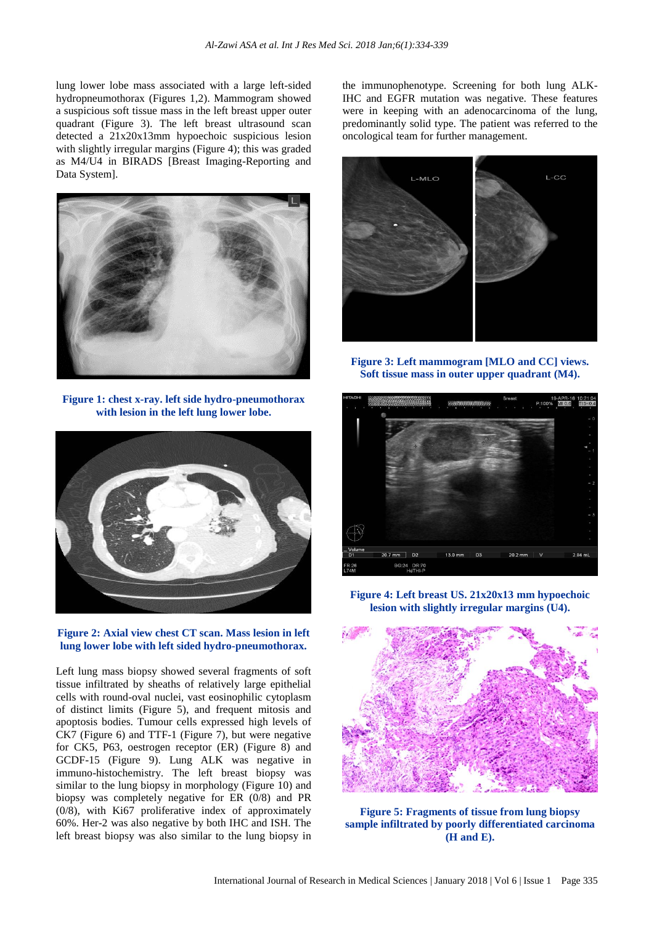lung lower lobe mass associated with a large left-sided hydropneumothorax (Figures 1,2). Mammogram showed a suspicious soft tissue mass in the left breast upper outer quadrant (Figure 3). The left breast ultrasound scan detected a 21x20x13mm hypoechoic suspicious lesion with slightly irregular margins (Figure 4); this was graded as M4/U4 in BIRADS [Breast Imaging-Reporting and Data System].



**Figure 1: chest x-ray. left side hydro-pneumothorax with lesion in the left lung lower lobe.**



**Figure 2: Axial view chest CT scan. Mass lesion in left lung lower lobe with left sided hydro-pneumothorax.**

Left lung mass biopsy showed several fragments of soft tissue infiltrated by sheaths of relatively large epithelial cells with round-oval nuclei, vast eosinophilic cytoplasm of distinct limits (Figure 5), and frequent mitosis and apoptosis bodies. Tumour cells expressed high levels of CK7 (Figure 6) and TTF-1 (Figure 7), but were negative for CK5, P63, oestrogen receptor (ER) (Figure 8) and GCDF-15 (Figure 9). Lung ALK was negative in immuno-histochemistry. The left breast biopsy was similar to the lung biopsy in morphology (Figure 10) and biopsy was completely negative for ER (0/8) and PR (0/8), with Ki67 proliferative index of approximately 60%. Her-2 was also negative by both IHC and ISH. The left breast biopsy was also similar to the lung biopsy in

the immunophenotype. Screening for both lung ALK-IHC and EGFR mutation was negative. These features were in keeping with an adenocarcinoma of the lung, predominantly solid type. The patient was referred to the oncological team for further management.



**Figure 3: Left mammogram [MLO and CC] views. Soft tissue mass in outer upper quadrant (M4).**



**Figure 4: Left breast US. 21x20x13 mm hypoechoic lesion with slightly irregular margins (U4).**



**Figure 5: Fragments of tissue from lung biopsy sample infiltrated by poorly differentiated carcinoma (H and E).**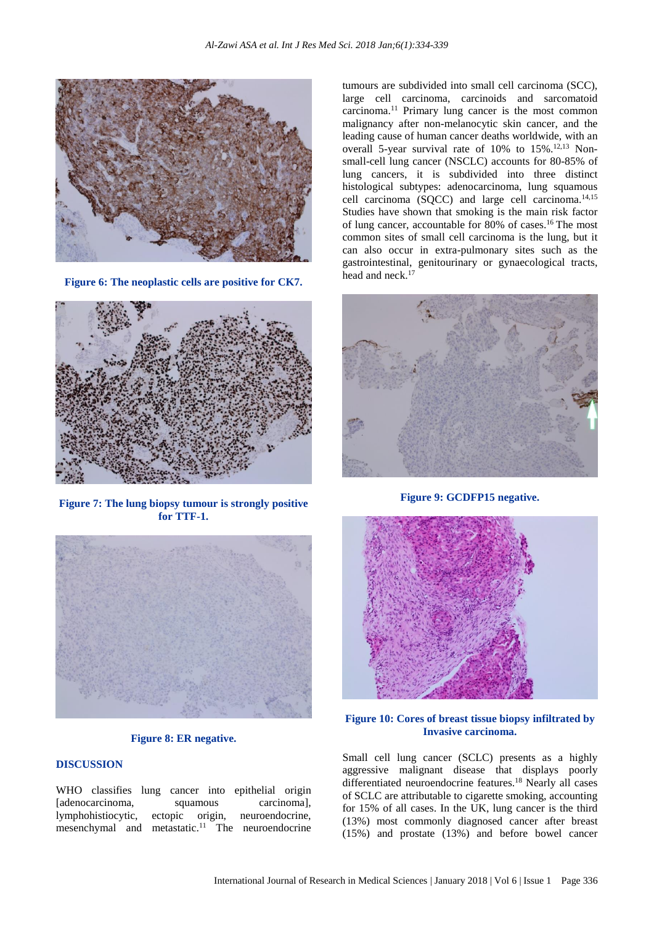

**Figure 6: The neoplastic cells are positive for CK7.**



**Figure 7: The lung biopsy tumour is strongly positive for TTF-1.**



**Figure 8: ER negative.**

### **DISCUSSION**

WHO classifies lung cancer into epithelial origin [adenocarcinoma, squamous carcinoma], lymphohistiocytic, ectopic origin, neuroendocrine, mesenchymal and metastatic.<sup>11</sup> The neuroendocrine

tumours are subdivided into small cell carcinoma (SCC), large cell carcinoma, carcinoids and sarcomatoid carcinoma. <sup>11</sup> Primary lung cancer is the most common malignancy after non-melanocytic skin cancer, and the leading cause of human cancer deaths worldwide, with an overall 5-year survival rate of 10% to 15%.<sup>12,13</sup> Nonsmall-cell lung cancer (NSCLC) accounts for 80-85% of lung cancers, it is subdivided into three distinct histological subtypes: adenocarcinoma, lung squamous cell carcinoma (SQCC) and large cell carcinoma.14,15 Studies have shown that smoking is the main risk factor of lung cancer, accountable for 80% of cases. <sup>16</sup> The most common sites of small cell carcinoma is the lung, but it can also occur in extra-pulmonary sites such as the gastrointestinal, genitourinary or gynaecological tracts, head and neck. 17



**Figure 9: GCDFP15 negative.**



**Figure 10: Cores of breast tissue biopsy infiltrated by Invasive carcinoma.**

Small cell lung cancer (SCLC) presents as a highly aggressive malignant disease that displays poorly differentiated neuroendocrine features. <sup>18</sup> Nearly all cases of SCLC are attributable to cigarette smoking, accounting for 15% of all cases. In the UK, lung cancer is the third (13%) most commonly diagnosed cancer after breast (15%) and prostate (13%) and before bowel cancer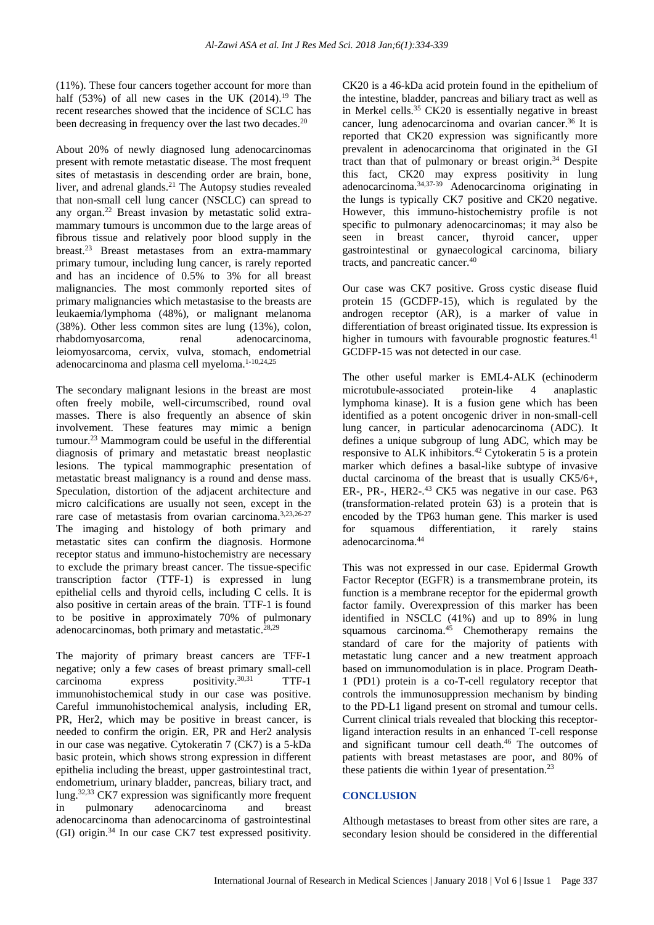(11%). These four cancers together account for more than half  $(53%)$  of all new cases in the UK  $(2014).^{19}$  The recent researches showed that the incidence of SCLC has been decreasing in frequency over the last two decades.<sup>20</sup>

About 20% of newly diagnosed lung adenocarcinomas present with remote metastatic disease. The most frequent sites of metastasis in descending order are brain, bone, liver, and adrenal glands. <sup>21</sup> The Autopsy studies revealed that non-small cell lung cancer (NSCLC) can spread to any organ. <sup>22</sup> Breast invasion by metastatic solid extramammary tumours is uncommon due to the large areas of fibrous tissue and relatively poor blood supply in the breast.<sup>23</sup> Breast metastases from an extra-mammary primary tumour, including lung cancer, is rarely reported and has an incidence of 0.5% to 3% for all breast malignancies. The most commonly reported sites of primary malignancies which metastasise to the breasts are leukaemia/lymphoma (48%), or malignant melanoma (38%). Other less common sites are lung (13%), colon, rhabdomyosarcoma, renal adenocarcinoma, leiomyosarcoma, cervix, vulva, stomach, endometrial adenocarcinoma and plasma cell myeloma.<sup>1-10,24,25</sup>

The secondary malignant lesions in the breast are most often freely mobile, well-circumscribed, round oval masses. There is also frequently an absence of skin involvement. These features may mimic a benign tumour. <sup>23</sup> Mammogram could be useful in the differential diagnosis of primary and metastatic breast neoplastic lesions. The typical mammographic presentation of metastatic breast malignancy is a round and dense mass. Speculation, distortion of the adjacent architecture and micro calcifications are usually not seen, except in the rare case of metastasis from ovarian carcinoma. 3,23,26-27 The imaging and histology of both primary and metastatic sites can confirm the diagnosis. Hormone receptor status and immuno-histochemistry are necessary to exclude the primary breast cancer. The tissue-specific transcription factor (TTF-1) is expressed in lung epithelial cells and thyroid cells, including C cells. It is also positive in certain areas of the brain. TTF-1 is found to be positive in approximately 70% of pulmonary adenocarcinomas, both primary and metastatic. 28,29

The majority of primary breast cancers are TFF-1 negative; only a few cases of breast primary small-cell carcinoma express positivity. 30,31 TTF-1 immunohistochemical study in our case was positive. Careful immunohistochemical analysis, including ER, PR, Her2, which may be positive in breast cancer, is needed to confirm the origin. ER, PR and Her2 analysis in our case was negative. Cytokeratin 7 (CK7) is a 5-kDa basic protein, which shows strong expression in different epithelia including the breast, upper gastrointestinal tract, endometrium, urinary bladder, pancreas, biliary tract, and lung.<sup>32,33</sup> CK7 expression was significantly more frequent in pulmonary adenocarcinoma and breast adenocarcinoma than adenocarcinoma of gastrointestinal (GI) origin. <sup>34</sup> In our case CK7 test expressed positivity.

CK20 is a 46-kDa acid protein found in the epithelium of the intestine, bladder, pancreas and biliary tract as well as in Merkel cells. <sup>35</sup> CK20 is essentially negative in breast cancer, lung adenocarcinoma and ovarian cancer. <sup>36</sup> It is reported that CK20 expression was significantly more prevalent in adenocarcinoma that originated in the GI tract than that of pulmonary or breast origin. <sup>34</sup> Despite this fact, CK20 may express positivity in lung adenocarcinoma. 34,37-39 Adenocarcinoma originating in the lungs is typically CK7 positive and CK20 negative. However, this immuno-histochemistry profile is not specific to pulmonary adenocarcinomas; it may also be seen in breast cancer, thyroid cancer, upper gastrointestinal or gynaecological carcinoma, biliary tracts, and pancreatic cancer. 40

Our case was CK7 positive. Gross cystic disease fluid protein 15 (GCDFP-15), which is regulated by the androgen receptor (AR), is a marker of value in differentiation of breast originated tissue. Its expression is higher in tumours with favourable prognostic features.<sup>41</sup> GCDFP-15 was not detected in our case.

The other useful marker is EML4-ALK (echinoderm microtubule-associated protein-like 4 anaplastic lymphoma kinase). It is a fusion gene which has been identified as a potent oncogenic driver in non-small-cell lung cancer, in particular adenocarcinoma (ADC). It defines a unique subgroup of lung ADC, which may be responsive to ALK inhibitors. <sup>42</sup> Cytokeratin 5 is a protein marker which defines a basal-like subtype of invasive ductal carcinoma of the breast that is usually CK5/6+, ER-, PR-, HER2-. <sup>43</sup> CK5 was negative in our case. P63 (transformation-related protein 63) is a protein that is encoded by the TP63 human gene. This marker is used for squamous differentiation, it rarely stains adenocarcinoma. 44

This was not expressed in our case. Epidermal Growth Factor Receptor (EGFR) is a transmembrane protein, its function is a membrane receptor for the epidermal growth factor family. Overexpression of this marker has been identified in NSCLC (41%) and up to 89% in lung squamous carcinoma. <sup>45</sup> Chemotherapy remains the standard of care for the majority of patients with metastatic lung cancer and a new treatment approach based on immunomodulation is in place. Program Death-1 (PD1) protein is a co-T-cell regulatory receptor that controls the immunosuppression mechanism by binding to the PD-L1 ligand present on stromal and tumour cells. Current clinical trials revealed that blocking this receptorligand interaction results in an enhanced T-cell response and significant tumour cell death. <sup>46</sup> The outcomes of patients with breast metastases are poor, and 80% of these patients die within 1year of presentation. 23

### **CONCLUSION**

Although metastases to breast from other sites are rare, a secondary lesion should be considered in the differential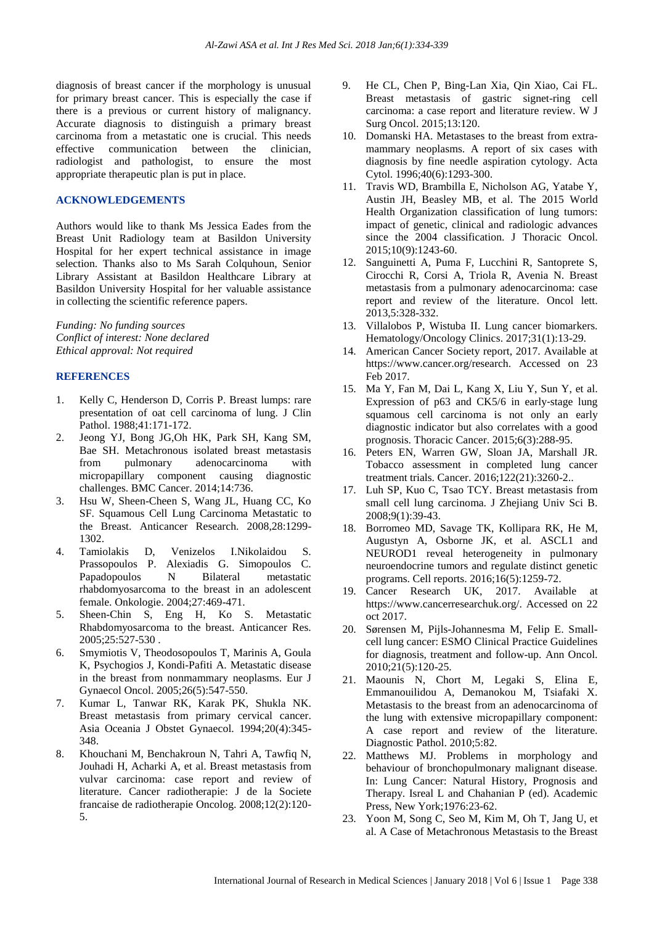diagnosis of breast cancer if the morphology is unusual for primary breast cancer. This is especially the case if there is a previous or current history of malignancy. Accurate diagnosis to distinguish a primary breast carcinoma from a metastatic one is crucial. This needs effective communication between the clinician, radiologist and pathologist, to ensure the most appropriate therapeutic plan is put in place.

#### **ACKNOWLEDGEMENTS**

Authors would like to thank Ms Jessica Eades from the Breast Unit Radiology team at Basildon University Hospital for her expert technical assistance in image selection. Thanks also to Ms Sarah Colquhoun, Senior Library Assistant at Basildon Healthcare Library at Basildon University Hospital for her valuable assistance in collecting the scientific reference papers.

*Funding: No funding sources Conflict of interest: None declared Ethical approval: Not required*

#### **REFERENCES**

- 1. Kelly C, Henderson D, Corris P. Breast lumps: rare presentation of oat cell carcinoma of lung. J Clin Pathol. 1988;41:171-172.
- 2. Jeong YJ, Bong JG,Oh HK, Park SH, Kang SM, Bae SH. Metachronous isolated breast metastasis from pulmonary adenocarcinoma with micropapillary component causing diagnostic challenges. BMC Cancer. 2014;14:736.
- 3. Hsu W, Sheen-Cheen S, Wang JL, Huang CC, Ko SF. Squamous Cell Lung Carcinoma Metastatic to the Breast. Anticancer Research. 2008,28:1299- 1302.
- 4. Tamiolakis D, Venizelos I.Nikolaidou S. Prassopoulos P. Alexiadis G. Simopoulos C. Papadopoulos N Bilateral metastatic rhabdomyosarcoma to the breast in an adolescent female. Onkologie. 2004;27:469-471.
- 5. Sheen-Chin S, Eng H, Ko S. Metastatic Rhabdomyosarcoma to the breast. Anticancer Res. 2005;25:527-530 .
- 6. Smymiotis V, Theodosopoulos T, Marinis A, Goula K, Psychogios J, Kondi-Pafiti A. Metastatic disease in the breast from nonmammary neoplasms. Eur J Gynaecol Oncol. 2005;26(5):547-550.
- 7. Kumar L, Tanwar RK, Karak PK, Shukla NK. Breast metastasis from primary cervical cancer. Asia Oceania J Obstet Gynaecol. 1994;20(4):345- 348.
- 8. Khouchani M, Benchakroun N, Tahri A, Tawfiq N, Jouhadi H, Acharki A, et al. Breast metastasis from vulvar carcinoma: case report and review of literature. Cancer radiotherapie: J de la Societe francaise de radiotherapie Oncolog. 2008;12(2):120- 5.
- 9. He CL, Chen P, Bing-Lan Xia, Qin Xiao, Cai FL. Breast metastasis of gastric signet-ring cell carcinoma: a case report and literature review. W J Surg Oncol. 2015;13:120.
- 10. Domanski HA. Metastases to the breast from extramammary neoplasms. A report of six cases with diagnosis by fine needle aspiration cytology. Acta Cytol. 1996;40(6):1293-300.
- 11. Travis WD, Brambilla E, Nicholson AG, Yatabe Y, Austin JH, Beasley MB, et al. The 2015 World Health Organization classification of lung tumors: impact of genetic, clinical and radiologic advances since the 2004 classification. J Thoracic Oncol. 2015;10(9):1243-60.
- 12. Sanguinetti A, Puma F, Lucchini R, Santoprete S, Cirocchi R, Corsi A, Triola R, Avenia N. Breast metastasis from a pulmonary adenocarcinoma: case report and review of the literature. Oncol lett. 2013,5:328-332.
- 13. Villalobos P, Wistuba II. Lung cancer biomarkers. Hematology/Oncology Clinics. 2017;31(1):13-29.
- 14. American Cancer Society report, 2017. Available at https://www.cancer.org/research. Accessed on 23 Feb 2017.
- 15. Ma Y, Fan M, Dai L, Kang X, Liu Y, Sun Y, et al. Expression of p63 and CK5/6 in early‐stage lung squamous cell carcinoma is not only an early diagnostic indicator but also correlates with a good prognosis. Thoracic Cancer. 2015;6(3):288-95.
- 16. Peters EN, Warren GW, Sloan JA, Marshall JR. Tobacco assessment in completed lung cancer treatment trials. Cancer. 2016;122(21):3260-2..
- 17. Luh SP, Kuo C, Tsao TCY. Breast metastasis from small cell lung carcinoma. J Zhejiang Univ Sci B. 2008;9(1):39-43.
- 18. Borromeo MD, Savage TK, Kollipara RK, He M, Augustyn A, Osborne JK, et al. ASCL1 and NEUROD1 reveal heterogeneity in pulmonary neuroendocrine tumors and regulate distinct genetic programs. Cell reports. 2016;16(5):1259-72.
- 19. Cancer Research UK, 2017. Available at https://www.cancerresearchuk.org/. Accessed on 22 oct 2017.
- 20. Sørensen M, Pijls-Johannesma M, Felip E. Smallcell lung cancer: ESMO Clinical Practice Guidelines for diagnosis, treatment and follow-up. Ann Oncol. 2010;21(5):120-25.
- 21. Maounis N, Chort M, Legaki S, Elina E, Emmanouilidou A, Demanokou M, Tsiafaki X. Metastasis to the breast from an adenocarcinoma of the lung with extensive micropapillary component: A case report and review of the literature. Diagnostic Pathol. 2010;5:82.
- 22. Matthews MJ. Problems in morphology and behaviour of bronchopulmonary malignant disease. In: Lung Cancer: Natural History, Prognosis and Therapy. Isreal L and Chahanian P (ed). Academic Press, New York;1976:23-62.
- 23. Yoon M, Song C, Seo M, Kim M, Oh T, Jang U, et al. A Case of Metachronous Metastasis to the Breast